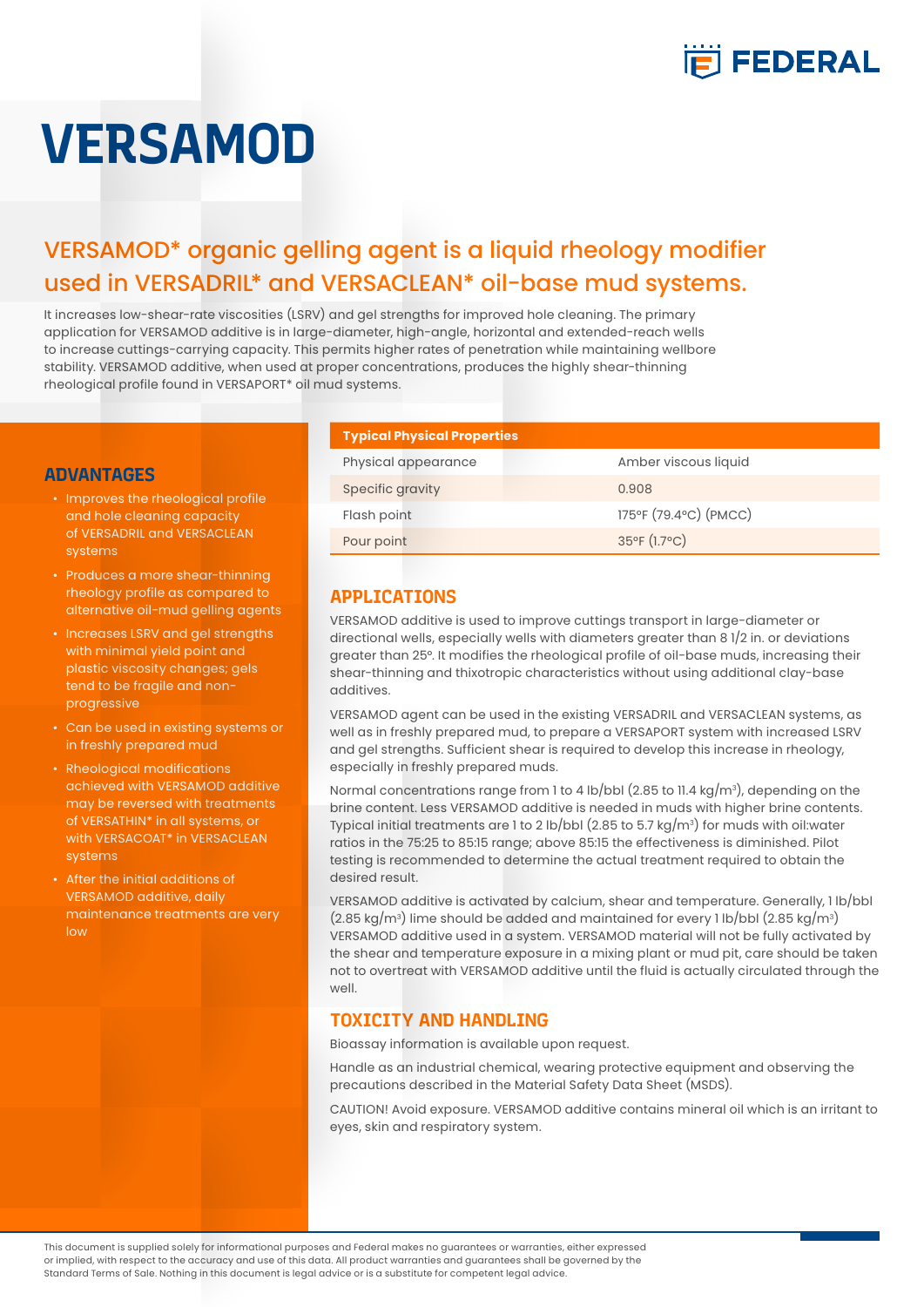

# **VERSAMOD**

# VERSAMOD\* organic gelling agent is a liquid rheology modifier used in VERSADRIL\* and VERSACLEAN\* oil-base mud systems.

It increases low-shear-rate viscosities (LSRV) and gel strengths for improved hole cleaning. The primary application for VERSAMOD additive is in large-diameter, high-angle, horizontal and extended-reach wells to increase cuttings-carrying capacity. This permits higher rates of penetration while maintaining wellbore stability. VERSAMOD additive, when used at proper concentrations, produces the highly shear-thinning rheological profile found in VERSAPORT\* oil mud systems.

#### **ADVANTAGES**

- Improves the rheological profile and hole cleaning capacity of VERSADRIL and VERSACLEAN systems
- Produces a more shear-thinning rheology profile as compared to alternative oil-mud gelling agents
- Increases LSRV and gel strengths with minimal yield point and plastic viscosity changes; gels tend to be fragile and nonprogressive
- Can be used in existing systems or in freshly prepared mud
- Rheological modifications achieved with VERSAMOD additive may be reversed with treatments of VERSATHIN\* in all systems, or with VERSACOAT\* in VERSACLEAN systems
- After the initial additions of VERSAMOD additive, daily maintenance treatments are very low

#### **Typical Physical Properties**

| Amber viscous liquid              |
|-----------------------------------|
| 0.908                             |
| 175°F (79.4°C) (PMCC)             |
| $35^{\circ}$ F (1.7 $^{\circ}$ C) |
|                                   |

## **APPLICATIONS**

VERSAMOD additive is used to improve cuttings transport in large-diameter or directional wells, especially wells with diameters greater than 8 1/2 in. or deviations greater than 25°. It modifies the rheological profile of oil-base muds, increasing their shear-thinning and thixotropic characteristics without using additional clay-base additives.

VERSAMOD agent can be used in the existing VERSADRIL and VERSACLEAN systems, as well as in freshly prepared mud, to prepare a VERSAPORT system with increased LSRV and gel strengths. Sufficient shear is required to develop this increase in rheology, especially in freshly prepared muds.

Normal concentrations range from 1 to 4 lb/bbl (2.85 to 11.4 kg/m $^{\circ}$ ), depending on the brine content. Less VERSAMOD additive is needed in muds with higher brine contents. Typical initial treatments are 1 to 2 lb/bbl (2.85 to 5.7 kg/m $^{\circ}$ ) for muds with oil:water ratios in the 75:25 to 85:15 range; above 85:15 the effectiveness is diminished. Pilot testing is recommended to determine the actual treatment required to obtain the desired result.

VERSAMOD additive is activated by calcium, shear and temperature. Generally, 1 lb/bbl  $(2.85 \text{ kg/m}^3)$  lime should be added and maintained for every 1 lb/bbl  $(2.85 \text{ kg/m}^3)$ VERSAMOD additive used in a system. VERSAMOD material will not be fully activated by the shear and temperature exposure in a mixing plant or mud pit, care should be taken not to overtreat with VERSAMOD additive until the fluid is actually circulated through the well.

### **TOXICITY AND HANDLING**

Bioassay information is available upon request.

Handle as an industrial chemical, wearing protective equipment and observing the precautions described in the Material Safety Data Sheet (MSDS).

CAUTION! Avoid exposure. VERSAMOD additive contains mineral oil which is an irritant to eyes, skin and respiratory system.

This document is supplied solely for informational purposes and Federal makes no guarantees or warranties, either expressed or implied, with respect to the accuracy and use of this data. All product warranties and guarantees shall be governed by the Standard Terms of Sale. Nothing in this document is legal advice or is a substitute for competent legal advice.